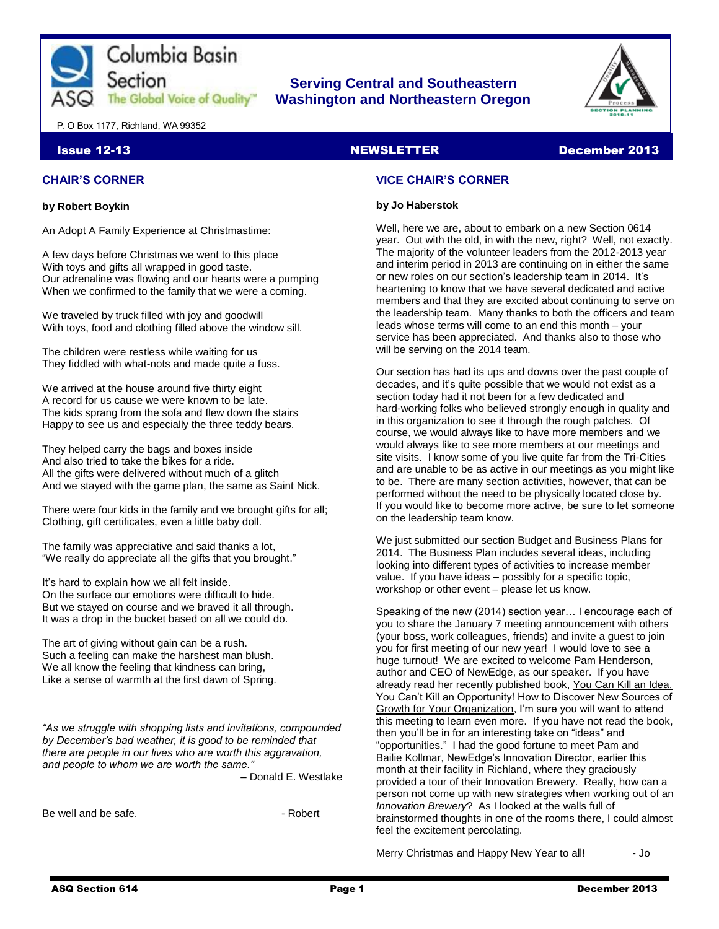

## **Serving Central and Southeastern The Global Voice of Quality | Washington and Northeastern Oregon**



P. O Box 1177, Richland, WA 99352

#### Issue 12-13 NEWSLETTER December 2013

## **CHAIR'S CORNER**

#### **by Robert Boykin**

An Adopt A Family Experience at Christmastime:

A few days before Christmas we went to this place With toys and gifts all wrapped in good taste. Our adrenaline was flowing and our hearts were a pumping When we confirmed to the family that we were a coming.

We traveled by truck filled with joy and goodwill With toys, food and clothing filled above the window sill.

The children were restless while waiting for us They fiddled with what-nots and made quite a fuss.

We arrived at the house around five thirty eight A record for us cause we were known to be late. The kids sprang from the sofa and flew down the stairs Happy to see us and especially the three teddy bears.

They helped carry the bags and boxes inside And also tried to take the bikes for a ride. All the gifts were delivered without much of a glitch And we stayed with the game plan, the same as Saint Nick.

There were four kids in the family and we brought gifts for all; Clothing, gift certificates, even a little baby doll.

The family was appreciative and said thanks a lot, "We really do appreciate all the gifts that you brought."

It's hard to explain how we all felt inside. On the surface our emotions were difficult to hide. But we stayed on course and we braved it all through. It was a drop in the bucket based on all we could do.

The art of giving without gain can be a rush. Such a feeling can make the harshest man blush. We all know the feeling that kindness can bring, Like a sense of warmth at the first dawn of Spring.

*"As we struggle with shopping lists and invitations, compounded by December's bad weather, it is good to be reminded that there are people in our lives who are worth this aggravation, and people to whom we are worth the same."* 

– Donald E. Westlake

Be well and be safe. **But an** and be safe.

## **VICE CHAIR'S CORNER**

#### **by Jo Haberstok**

Well, here we are, about to embark on a new Section 0614 year. Out with the old, in with the new, right? Well, not exactly. The majority of the volunteer leaders from the 2012-2013 year and interim period in 2013 are continuing on in either the same or new roles on our section's leadership team in 2014. It's heartening to know that we have several dedicated and active members and that they are excited about continuing to serve on the leadership team. Many thanks to both the officers and team leads whose terms will come to an end this month – your service has been appreciated. And thanks also to those who will be serving on the 2014 team.

Our section has had its ups and downs over the past couple of decades, and it's quite possible that we would not exist as a section today had it not been for a few dedicated and hard-working folks who believed strongly enough in quality and in this organization to see it through the rough patches. Of course, we would always like to have more members and we would always like to see more members at our meetings and site visits. I know some of you live quite far from the Tri-Cities and are unable to be as active in our meetings as you might like to be. There are many section activities, however, that can be performed without the need to be physically located close by. If you would like to become more active, be sure to let someone on the leadership team know.

We just submitted our section Budget and Business Plans for 2014. The Business Plan includes several ideas, including looking into different types of activities to increase member value. If you have ideas – possibly for a specific topic, workshop or other event – please let us know.

Speaking of the new (2014) section year… I encourage each of you to share the January 7 meeting announcement with others (your boss, work colleagues, friends) and invite a guest to join you for first meeting of our new year! I would love to see a huge turnout! We are excited to welcome Pam Henderson, author and CEO of NewEdge, as our speaker. If you have already read her recently published book, You Can Kill an Idea, You Can't Kill an Opportunity! How to Discover New Sources of Growth for Your Organization, I'm sure you will want to attend this meeting to learn even more. If you have not read the book, then you'll be in for an interesting take on "ideas" and "opportunities." I had the good fortune to meet Pam and Bailie Kollmar, NewEdge's Innovation Director, earlier this month at their facility in Richland, where they graciously provided a tour of their Innovation Brewery. Really, how can a person not come up with new strategies when working out of an *Innovation Brewery*? As I looked at the walls full of brainstormed thoughts in one of the rooms there, I could almost feel the excitement percolating.

Merry Christmas and Happy New Year to all! - Jo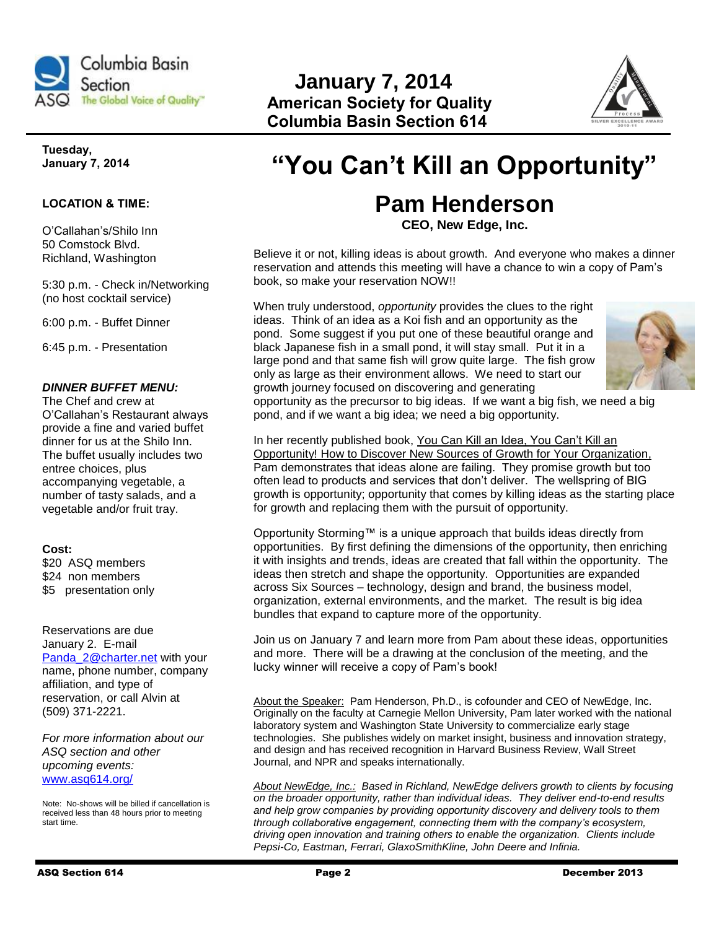

## **January 7, 2014 The Global Voice of Quality" American Society for Quality Columbia Basin Section 614**



## **Tuesday, January 7, 2014**

## **LOCATION & TIME:**

O'Callahan's/Shilo Inn 50 Comstock Blvd. Richland, Washington

5:30 p.m. - Check in/Networking (no host cocktail service)

6:00 p.m. - Buffet Dinner

6:45 p.m. - Presentation

## *DINNER BUFFET MENU:*

The Chef and crew at O'Callahan's Restaurant always provide a fine and varied buffet dinner for us at the Shilo Inn. The buffet usually includes two entree choices, plus accompanying vegetable, a number of tasty salads, and a vegetable and/or fruit tray.

## **Cost:**

\$20 ASQ members \$24 non members \$5 presentation only

Reservations are due January 2. E-mail [Panda\\_2@charter.net](mailto:Panda_2@charter.net) with your name, phone number, company affiliation, and type of reservation, or call Alvin at (509) 371-2221.

*For more information about our ASQ section and other upcoming events:*  [www.asq614.org/](http://www.asq614.org/)

Note: No-shows will be billed if cancellation is received less than 48 hours prior to meeting start time.

# **"You Can't Kill an Opportunity"**

## **Pam Henderson**

**CEO, New Edge, Inc.**

Believe it or not, killing ideas is about growth. And everyone who makes a dinner reservation and attends this meeting will have a chance to win a copy of Pam's book, so make your reservation NOW!!

When truly understood, *opportunity* provides the clues to the right ideas. Think of an idea as a Koi fish and an opportunity as the pond. Some suggest if you put one of these beautiful orange and black Japanese fish in a small pond, it will stay small. Put it in a large pond and that same fish will grow quite large. The fish grow only as large as their environment allows. We need to start our growth journey focused on discovering and generating



opportunity as the precursor to big ideas. If we want a big fish, we need a big pond, and if we want a big idea; we need a big opportunity.

In her recently published book, You Can Kill an Idea, You Can't Kill an Opportunity! How to Discover New Sources of Growth for Your Organization, Pam demonstrates that ideas alone are failing. They promise growth but too often lead to products and services that don't deliver. The wellspring of BIG growth is opportunity; opportunity that comes by killing ideas as the starting place for growth and replacing them with the pursuit of opportunity.

Opportunity Storming™ is a unique approach that builds ideas directly from opportunities. By first defining the dimensions of the opportunity, then enriching it with insights and trends, ideas are created that fall within the opportunity. The ideas then stretch and shape the opportunity. Opportunities are expanded across Six Sources – technology, design and brand, the business model, organization, external environments, and the market. The result is big idea bundles that expand to capture more of the opportunity.

Join us on January 7 and learn more from Pam about these ideas, opportunities and more. There will be a drawing at the conclusion of the meeting, and the lucky winner will receive a copy of Pam's book!

About the Speaker: Pam Henderson, Ph.D., is cofounder and CEO of NewEdge, Inc. Originally on the faculty at Carnegie Mellon University, Pam later worked with the national laboratory system and Washington State University to commercialize early stage technologies. She publishes widely on market insight, business and innovation strategy, and design and has received recognition in Harvard Business Review, Wall Street Journal, and NPR and speaks internationally.

*About NewEdge, Inc.: Based in Richland, NewEdge delivers growth to clients by focusing on the broader opportunity, rather than individual ideas. They deliver end-to-end results and help grow companies by providing opportunity discovery and delivery tools to them through collaborative engagement, connecting them with the company's ecosystem, driving open innovation and training others to enable the organization. Clients include Pepsi-Co, Eastman, Ferrari, GlaxoSmithKline, John Deere and Infinia.*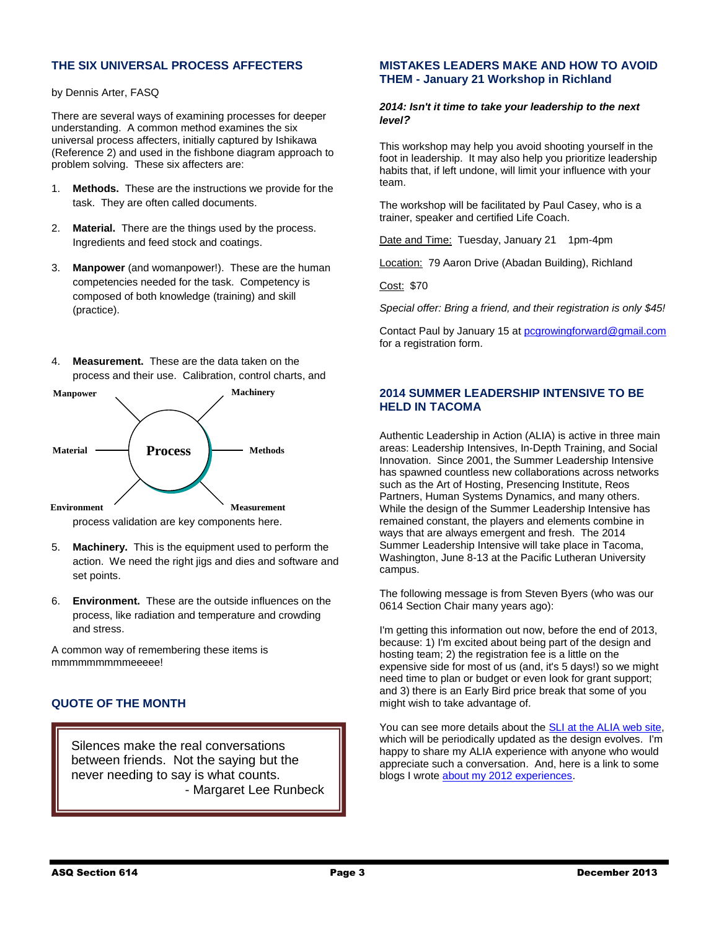## **THE SIX UNIVERSAL PROCESS AFFECTERS**

by Dennis Arter, FASQ

There are several ways of examining processes for deeper understanding. A common method examines the six universal process affecters, initially captured by Ishikawa (Reference 2) and used in the fishbone diagram approach to problem solving. These six affecters are:

- 1. **Methods.** These are the instructions we provide for the task. They are often called documents.
- 2. **Material.** There are the things used by the process. Ingredients and feed stock and coatings.
- 3. **Manpower** (and womanpower!). These are the human competencies needed for the task. Competency is composed of both knowledge (training) and skill (practice).
- 4. **Measurement.** These are the data taken on the process and their use. Calibration, control charts, and



process validation are key components here.

- 5. **Machinery.** This is the equipment used to perform the action. We need the right jigs and dies and software and set points.
- 6. **Environment.** These are the outside influences on the process, like radiation and temperature and crowding and stress.

A common way of remembering these items is mmmmmmmmmeeeee!

## **QUOTE OF THE MONTH**

Silences make the real conversations between friends. Not the saying but the never needing to say is what counts. - Margaret Lee Runbeck

#### **MISTAKES LEADERS MAKE AND HOW TO AVOID THEM - January 21 Workshop in Richland**

#### *2014: Isn't it time to take your leadership to the next level?*

This workshop may help you avoid shooting yourself in the foot in leadership. It may also help you prioritize leadership habits that, if left undone, will limit your influence with your team.

The workshop will be facilitated by Paul Casey, who is a trainer, speaker and certified Life Coach.

Date and Time: Tuesday, January 21 1pm-4pm

Location: 79 Aaron Drive (Abadan Building), Richland

Cost: \$70

*Special offer: Bring a friend, and their registration is only \$45!*

Contact Paul by January 15 at [pcgrowingforward@gmail.com](mailto:pcgrowingforward@gmail.com) for a registration form.

## **2014 SUMMER LEADERSHIP INTENSIVE TO BE HELD IN TACOMA**

Authentic Leadership in Action (ALIA) is active in three main areas: Leadership Intensives, In-Depth Training, and Social Innovation. Since 2001, the Summer Leadership Intensive has spawned countless new collaborations across networks such as the Art of Hosting, Presencing Institute, Reos Partners, Human Systems Dynamics, and many others. While the design of the Summer Leadership Intensive has remained constant, the players and elements combine in ways that are always emergent and fresh. The 2014 Summer Leadership Intensive will take place in Tacoma, Washington, June 8-13 at the Pacific Lutheran University campus.

The following message is from Steven Byers (who was our 0614 Section Chair many years ago):

I'm getting this information out now, before the end of 2013, because: 1) I'm excited about being part of the design and hosting team; 2) the registration fee is a little on the expensive side for most of us (and, it's 5 days!) so we might need time to plan or budget or even look for grant support; and 3) there is an Early Bird price break that some of you might wish to take advantage of.

You can see more details about the [SLI at the ALIA web site,](http://aliainstitute.org/summer2014/) which will be periodically updated as the design evolves. I'm happy to share my ALIA experience with anyone who would appreciate such a conversation. And, here is a link to some blogs I wrote [about my 2012 experiences.](http://helpinghumansystems.com/wordpress/?s=ALIA)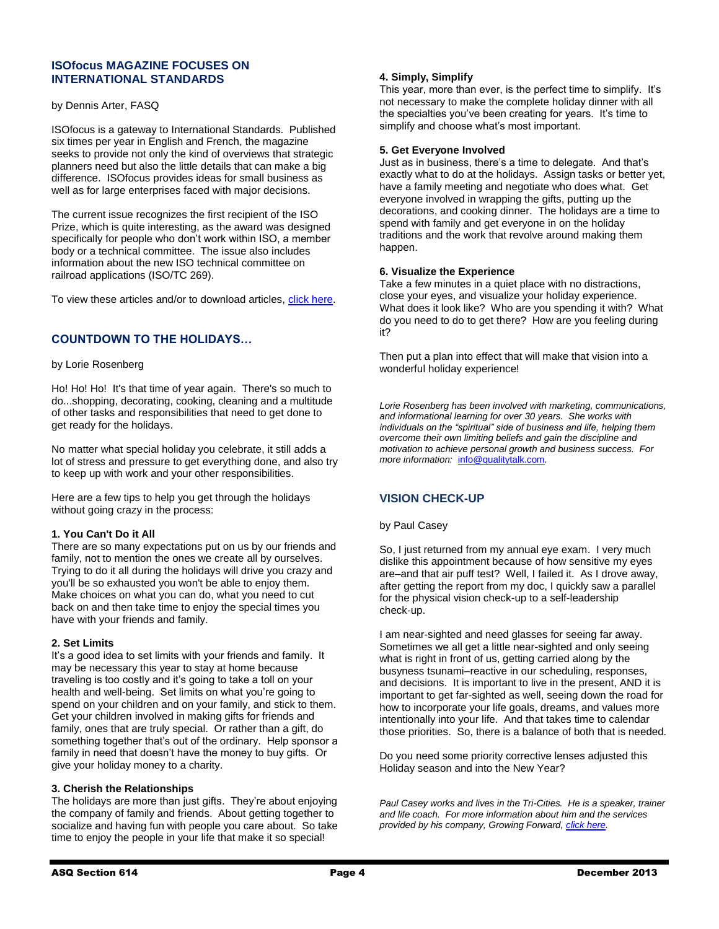#### **ISOfocus MAGAZINE FOCUSES ON INTERNATIONAL STANDARDS**

#### by Dennis Arter, FASQ

ISOfocus is a gateway to International Standards. Published six times per year in English and French, the magazine seeks to provide not only the kind of overviews that strategic planners need but also the little details that can make a big difference. ISOfocus provides ideas for small business as well as for large enterprises faced with major decisions.

The current issue recognizes the first recipient of the ISO Prize, which is quite interesting, as the award was designed specifically for people who don't work within ISO, a member body or a technical committee. The issue also includes information about the new ISO technical committee on railroad applications (ISO/TC 269).

To view these articles and/or to download articles, [click here.](http://www.iso.org/iso/iso_magazines)

## **COUNTDOWN TO THE HOLIDAYS…**

#### by Lorie Rosenberg

Ho! Ho! Ho! It's that time of year again. There's so much to do...shopping, decorating, cooking, cleaning and a multitude of other tasks and responsibilities that need to get done to get ready for the holidays.

No matter what special holiday you celebrate, it still adds a lot of stress and pressure to get everything done, and also try to keep up with work and your other responsibilities.

Here are a few tips to help you get through the holidays without going crazy in the process:

#### **1. You Can't Do it All**

There are so many expectations put on us by our friends and family, not to mention the ones we create all by ourselves. Trying to do it all during the holidays will drive you crazy and you'll be so exhausted you won't be able to enjoy them. Make choices on what you can do, what you need to cut back on and then take time to enjoy the special times you have with your friends and family.

#### **2. Set Limits**

It's a good idea to set limits with your friends and family. It may be necessary this year to stay at home because traveling is too costly and it's going to take a toll on your health and well-being. Set limits on what you're going to spend on your children and on your family, and stick to them. Get your children involved in making gifts for friends and family, ones that are truly special. Or rather than a gift, do something together that's out of the ordinary. Help sponsor a family in need that doesn't have the money to buy gifts. Or give your holiday money to a charity.

#### **3. Cherish the Relationships**

The holidays are more than just gifts. They're about enjoying the company of family and friends. About getting together to socialize and having fun with people you care about. So take time to enjoy the people in your life that make it so special!

#### **4. Simply, Simplify**

This year, more than ever, is the perfect time to simplify. It's not necessary to make the complete holiday dinner with all the specialties you've been creating for years. It's time to simplify and choose what's most important.

#### **5. Get Everyone Involved**

Just as in business, there's a time to delegate. And that's exactly what to do at the holidays. Assign tasks or better yet, have a family meeting and negotiate who does what. Get everyone involved in wrapping the gifts, putting up the decorations, and cooking dinner. The holidays are a time to spend with family and get everyone in on the holiday traditions and the work that revolve around making them happen.

#### **6. Visualize the Experience**

Take a few minutes in a quiet place with no distractions, close your eyes, and visualize your holiday experience. What does it look like? Who are you spending it with? What do you need to do to get there? How are you feeling during it?

Then put a plan into effect that will make that vision into a wonderful holiday experience!

*Lorie Rosenberg has been involved with marketing, communications, and informational learning for over 30 years. She works with individuals on the "spiritual" side of business and life, helping them overcome their own limiting beliefs and gain the discipline and motivation to achieve personal growth and business success. For more information:* [info@qualitytalk.com](mailto:info@qualitytalk.com)*.* 

## **VISION CHECK-UP**

#### by Paul Casey

So, I just returned from my annual eye exam. I very much dislike this appointment because of how sensitive my eyes are–and that air puff test? Well, I failed it. As I drove away, after getting the report from my doc, I quickly saw a parallel for the physical vision check-up to a self-leadership check-up.

I am near-sighted and need glasses for seeing far away. Sometimes we all get a little near-sighted and only seeing what is right in front of us, getting carried along by the busyness tsunami–reactive in our scheduling, responses, and decisions. It is important to live in the present, AND it is important to get far-sighted as well, seeing down the road for how to incorporate your life goals, dreams, and values more intentionally into your life. And that takes time to calendar those priorities. So, there is a balance of both that is needed.

Do you need some priority corrective lenses adjusted this Holiday season and into the New Year?

*Paul Casey works and lives in the Tri-Cities. He is a speaker, trainer and life coach. For more information about him and the services provided by his company, Growing Forward, [click here.](file:///C:/Users/Robert/AppData/Local/Microsoft/Windows/Temporary%20Internet%20Files/Content.Outlook/AP1LWLY7/Call%20for%20a%20free%20consultation%20or%20to%20set%20up%20a%20speaking%20engagement)*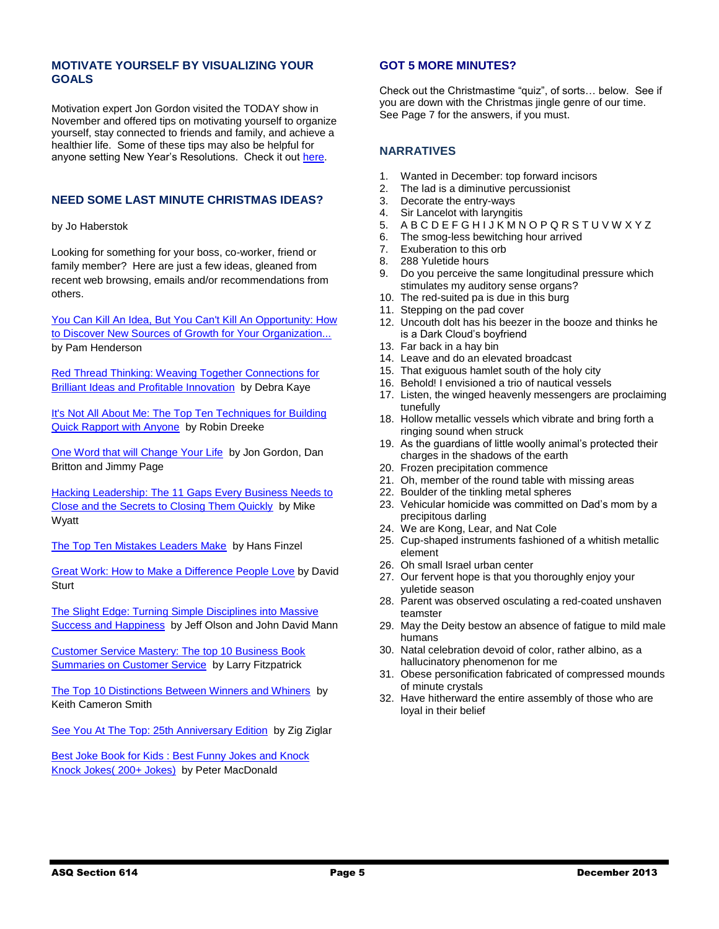## **MOTIVATE YOURSELF BY VISUALIZING YOUR GOALS**

Motivation expert Jon Gordon visited the TODAY show in November and offered tips on motivating yourself to organize yourself, stay connected to friends and family, and achieve a healthier life. Some of these tips may also be helpful for anyone setting New Year's Resolutions. Check it out [here.](http://video.today.msnbc.msn.com/today/53541971)

## **NEED SOME LAST MINUTE CHRISTMAS IDEAS?**

by Jo Haberstok

Looking for something for your boss, co-worker, friend or family member? Here are just a few ideas, gleaned from recent web browsing, emails and/or recommendations from others.

[You Can Kill An Idea, But You Can't Kill An Opportunity: How](http://www.amazon.com/You-Kill-Idea-Cant-Opportunity/dp/111880838X/ref=sr_1_1?ie=UTF8&qid=1387224820&sr=8-1&keywords=You+can+kill+an+idea)  [to Discover New Sources of Growth for Your Organization...](http://www.amazon.com/You-Kill-Idea-Cant-Opportunity/dp/111880838X/ref=sr_1_1?ie=UTF8&qid=1387224820&sr=8-1&keywords=You+can+kill+an+idea)  by Pam Henderson

[Red Thread Thinking: Weaving Together Connections for](http://asq.org/quality-press/display-item/index.html?item=P1519&WT.dcsvid=NzQ3NTUwNjQ4MDcS1&WT.mc_id=EM1111098)  **Brilliant Ideas and Profitable Innovation** by Debra Kaye

It's Not All About Me: The Top Ten Techniques for Building [Quick Rapport with Anyone](http://www.amazon.com/Its-Not-All-About-Techniques/dp/057809665X/ref=sr_1_8?ie=UTF8&qid=1387224256&sr=8-8&keywords=top+ten+business+books) by Robin Dreeke

[One Word that will Change Your Life](http://r20.rs6.net/tn.jsp?e=001VZyG7GdujKFcl-A-EZgv3BPqU0D7wlAojg0Ft_D5XE1WXsaCxwKfVNEk76DDWN2YJuhiW7kqj9kT6osgVd-NqCeuns9pVPwvhQ2ReotL-BbtPdxYOykevQANHH3QjCCrtlKvEVL7Tgc=) by Jon Gordon, Dan Britton and Jimmy Page

[Hacking Leadership: The 11 Gaps Every Business Needs to](http://www.amazon.com/Hacking-Leadership-Business-Secrets-Closing/dp/1118817419)  [Close and the Secrets to Closing Them Quickly](http://www.amazon.com/Hacking-Leadership-Business-Secrets-Closing/dp/1118817419) by Mike Wyatt

[The Top Ten Mistakes Leaders Make](http://www.amazon.com/The-Top-Mistakes-Leaders-Make/dp/0781445493/ref=sr_1_3?ie=UTF8&qid=1387224256&sr=8-3&keywords=top+ten+business+books) by Hans Finzel

[Great Work: How to Make a Difference People Love](http://www.amazon.com/Great-Work-Make-Difference-People/dp/0071818359/ref=sr_1_6?ie=UTF8&qid=1387224739&sr=8-6&keywords=top+music+cds+2013) by David **Sturt** 

[The Slight Edge: Turning Simple Disciplines into Massive](http://www.amazon.com/The-Slight-Edge-Disciplines-Happiness/dp/1626340463/ref=sr_1_7?ie=UTF8&qid=1387224256&sr=8-7&keywords=top+ten+business+books)  [Success and Happiness](http://www.amazon.com/The-Slight-Edge-Disciplines-Happiness/dp/1626340463/ref=sr_1_7?ie=UTF8&qid=1387224256&sr=8-7&keywords=top+ten+business+books) by Jeff Olson and John David Mann

[Customer Service Mastery: The top 10 Business Book](http://www.amazon.com/Customer-Service-Mastery-Business-Summaries-ebook/dp/B00H3WY7P2/ref=sr_1_22?ie=UTF8&qid=1387224424&sr=8-22&keywords=top+ten+business+books)  **Summaries on Customer Service** by Larry Fitzpatrick

[The Top 10 Distinctions Between Winners and Whiners](http://www.amazon.com/The-Distinctions-Between-Winners-Whiners/dp/0470885866/ref=sr_1_48?ie=UTF8&qid=1387224476&sr=8-48&keywords=top+ten+business+books) by Keith Cameron Smith

[See You At The Top: 25th Anniversary Edition](http://www.amazon.com/See-You-The-Top-Anniversary/dp/0743596781/ref=sr_1_5?ie=UTF8&qid=1387224675&sr=8-5&keywords=top+audio+books) by Zig Ziglar

[Best Joke Book for Kids : Best Funny Jokes and Knock](http://www.amazon.com/Best-Joke-Book-Kids-Funny-ebook/dp/B00EKVOG28/ref=sr_1_4?ie=UTF8&qid=1387224576&sr=8-4&keywords=top+kids+books+2013)  [Knock Jokes\( 200+ Jokes\)](http://www.amazon.com/Best-Joke-Book-Kids-Funny-ebook/dp/B00EKVOG28/ref=sr_1_4?ie=UTF8&qid=1387224576&sr=8-4&keywords=top+kids+books+2013) by Peter MacDonald

## **GOT 5 MORE MINUTES?**

Check out the Christmastime "quiz", of sorts… below. See if you are down with the Christmas jingle genre of our time. See Page 7 for the answers, if you must.

## **NARRATIVES**

- 1. Wanted in December: top forward incisors
- 2. The lad is a diminutive percussionist
- 3. Decorate the entry-ways
- 4. Sir Lancelot with laryngitis<br>5. A B C D E F G H I J K M N
- 5. A B C D E F G H I J K M N O P Q R S T U V W X Y Z
- 6. The smog-less bewitching hour arrived
- 7. Exuberation to this orb
- 8. 288 Yuletide hours
- 9. Do you perceive the same longitudinal pressure which stimulates my auditory sense organs?
- 10. The red-suited pa is due in this burg
- 11. Stepping on the pad cover
- 12. Uncouth dolt has his beezer in the booze and thinks he is a Dark Cloud's boyfriend
- 13. Far back in a hay bin
- 14. Leave and do an elevated broadcast
- 15. That exiguous hamlet south of the holy city
- 16. Behold! I envisioned a trio of nautical vessels
- 17. Listen, the winged heavenly messengers are proclaiming tunefully
- 18. Hollow metallic vessels which vibrate and bring forth a ringing sound when struck
- 19. As the guardians of little woolly animal's protected their charges in the shadows of the earth
- 20. Frozen precipitation commence
- 21. Oh, member of the round table with missing areas
- 22. Boulder of the tinkling metal spheres
- 23. Vehicular homicide was committed on Dad's mom by a precipitous darling
- 24. We are Kong, Lear, and Nat Cole
- 25. Cup-shaped instruments fashioned of a whitish metallic element
- 26. Oh small Israel urban center
- 27. Our fervent hope is that you thoroughly enjoy your yuletide season
- 28. Parent was observed osculating a red-coated unshaven teamster
- 29. May the Deity bestow an absence of fatigue to mild male humans
- 30. Natal celebration devoid of color, rather albino, as a hallucinatory phenomenon for me
- 31. Obese personification fabricated of compressed mounds of minute crystals
- 32. Have hitherward the entire assembly of those who are loyal in their belief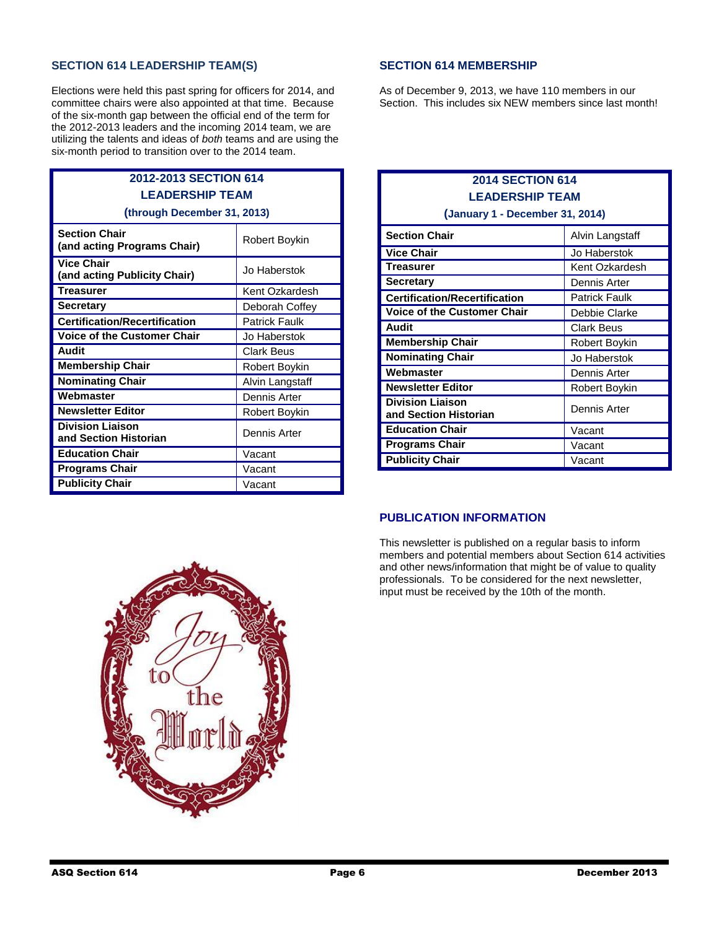## **SECTION 614 LEADERSHIP TEAM(S)**

Elections were held this past spring for officers for 2014, and committee chairs were also appointed at that time. Because of the six-month gap between the official end of the term for the 2012-2013 leaders and the incoming 2014 team, we are utilizing the talents and ideas of *both* teams and are using the six-month period to transition over to the 2014 team.

## **2012-2013 SECTION 614 LEADERSHIP TEAM (through December 31, 2013)**

| <b>Section Chair</b><br>(and acting Programs Chair) | Robert Boykin        |
|-----------------------------------------------------|----------------------|
| <b>Vice Chair</b><br>(and acting Publicity Chair)   | Jo Haberstok         |
| Treasurer                                           | Kent Ozkardesh       |
| Secretary                                           | Deborah Coffey       |
| <b>Certification/Recertification</b>                | <b>Patrick Faulk</b> |
| <b>Voice of the Customer Chair</b>                  | Jo Haberstok         |
| Audit                                               | Clark Beus           |
| <b>Membership Chair</b>                             | Robert Boykin        |
| <b>Nominating Chair</b>                             | Alvin Langstaff      |
| Webmaster                                           | Dennis Arter         |
| <b>Newsletter Editor</b>                            | Robert Boykin        |
| <b>Division Liaison</b><br>and Section Historian    | Dennis Arter         |
| <b>Education Chair</b>                              | Vacant               |
| <b>Programs Chair</b>                               | Vacant               |
| <b>Publicity Chair</b>                              | Vacant               |

## **SECTION 614 MEMBERSHIP**

As of December 9, 2013, we have 110 members in our Section. This includes six NEW members since last month!

| <b>2014 SECTION 614</b><br><b>LEADERSHIP TEAM</b><br>(January 1 - December 31, 2014) |                      |  |
|--------------------------------------------------------------------------------------|----------------------|--|
| <b>Section Chair</b>                                                                 | Alvin Langstaff      |  |
| <b>Vice Chair</b>                                                                    | Jo Haberstok         |  |
| Treasurer                                                                            | Kent Ozkardesh       |  |
| <b>Secretary</b>                                                                     | Dennis Arter         |  |
| <b>Certification/Recertification</b>                                                 | <b>Patrick Faulk</b> |  |
| <b>Voice of the Customer Chair</b>                                                   | Debbie Clarke        |  |
| Audit                                                                                | <b>Clark Beus</b>    |  |
| <b>Membership Chair</b>                                                              | Robert Boykin        |  |
| <b>Nominating Chair</b>                                                              | Jo Haberstok         |  |
| Webmaster                                                                            | Dennis Arter         |  |
| <b>Newsletter Editor</b>                                                             | Robert Boykin        |  |
| <b>Division Liaison</b><br>and Section Historian                                     | Dennis Arter         |  |
| <b>Education Chair</b>                                                               | Vacant               |  |
| <b>Programs Chair</b>                                                                | Vacant               |  |
| <b>Publicity Chair</b>                                                               | Vacant               |  |

## **PUBLICATION INFORMATION**

This newsletter is published on a regular basis to inform members and potential members about Section 614 activities and other news/information that might be of value to quality professionals. To be considered for the next newsletter, input must be received by the 10th of the month.